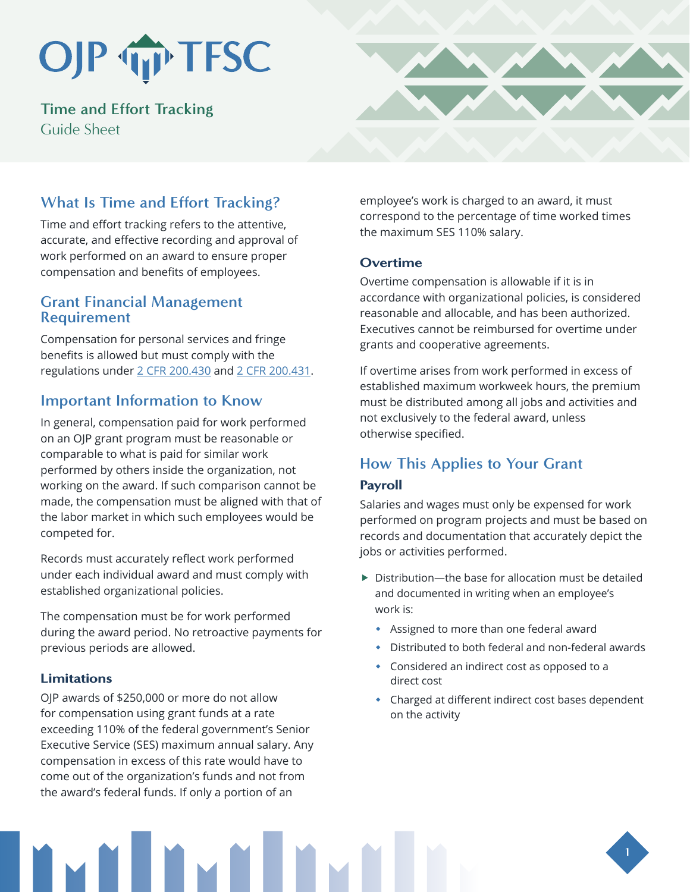## OJP TP TFSC

**Time and Effort Tracking** Guide Sheet



## **What Is Time and Effort Tracking?**

Time and effort tracking refers to the attentive, accurate, and effective recording and approval of work performed on an award to ensure proper compensation and benefits of employees.

## **Grant Financial Management Requirement**

Compensation for personal services and fringe benefits is allowed but must comply with the regulations under [2 CFR 200.430](https://www.ecfr.gov/current/title-2/part-200) and [2 CFR 200.431.](https://www.ecfr.gov/current/title-2/subtitle-A/chapter-II/part-200/subpart-E/subject-group-ECFRed1f39f9b3d4e72/section-200.431)

## **Important Information to Know**

In general, compensation paid for work performed on an OJP grant program must be reasonable or comparable to what is paid for similar work performed by others inside the organization, not working on the award. If such comparison cannot be made, the compensation must be aligned with that of the labor market in which such employees would be competed for.

Records must accurately reflect work performed under each individual award and must comply with established organizational policies.

The compensation must be for work performed during the award period. No retroactive payments for previous periods are allowed.

### Limitations

OJP awards of \$250,000 or more do not allow for compensation using grant funds at a rate exceeding 110% of the federal government's Senior Executive Service (SES) maximum annual salary. Any compensation in excess of this rate would have to come out of the organization's funds and not from the award's federal funds. If only a portion of an

employee's work is charged to an award, it must correspond to the percentage of time worked times the maximum SES 110% salary.

#### **Overtime**

Overtime compensation is allowable if it is in accordance with organizational policies, is considered reasonable and allocable, and has been authorized. Executives cannot be reimbursed for overtime under grants and cooperative agreements.

If overtime arises from work performed in excess of established maximum workweek hours, the premium must be distributed among all jobs and activities and not exclusively to the federal award, unless otherwise specified.

## **How This Applies to Your Grant**

### Payroll

Salaries and wages must only be expensed for work performed on program projects and must be based on records and documentation that accurately depict the jobs or activities performed.

- $\triangleright$  Distribution—the base for allocation must be detailed and documented in writing when an employee's work is:
	- Assigned to more than one federal award
	- Distributed to both federal and non-federal awards
	- Considered an indirect cost as opposed to a direct cost
	- Charged at different indirect cost bases dependent on the activity